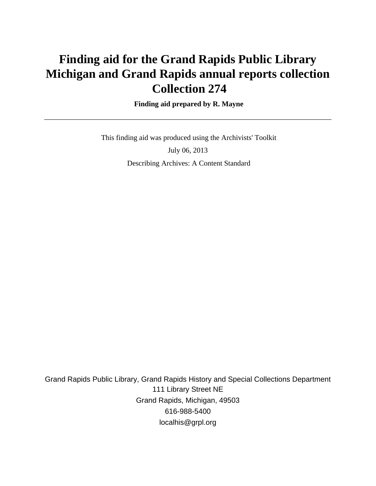# **Finding aid for the Grand Rapids Public Library Michigan and Grand Rapids annual reports collection Collection 274**

### **Finding aid prepared by R. Mayne**

 This finding aid was produced using the Archivists' Toolkit July 06, 2013 Describing Archives: A Content Standard

Grand Rapids Public Library, Grand Rapids History and Special Collections Department 111 Library Street NE Grand Rapids, Michigan, 49503 616-988-5400 localhis@grpl.org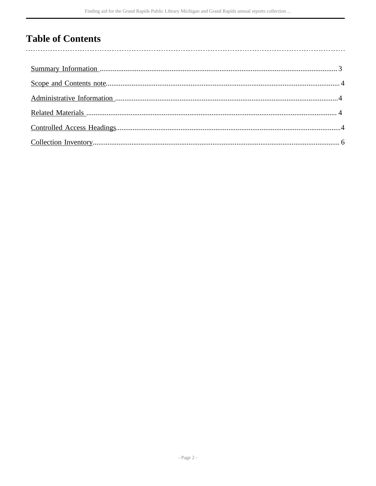# **Table of Contents**

 $\overline{\phantom{a}}$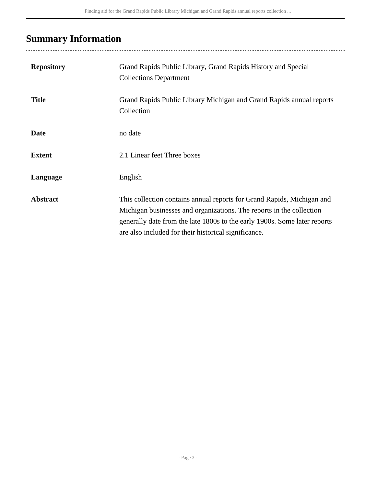# <span id="page-2-0"></span>**Summary Information**

| <b>Repository</b> | Grand Rapids Public Library, Grand Rapids History and Special<br><b>Collections Department</b>                                                                                                                                                                                      |
|-------------------|-------------------------------------------------------------------------------------------------------------------------------------------------------------------------------------------------------------------------------------------------------------------------------------|
| <b>Title</b>      | Grand Rapids Public Library Michigan and Grand Rapids annual reports<br>Collection                                                                                                                                                                                                  |
| <b>Date</b>       | no date                                                                                                                                                                                                                                                                             |
| <b>Extent</b>     | 2.1 Linear feet Three boxes                                                                                                                                                                                                                                                         |
| Language          | English                                                                                                                                                                                                                                                                             |
| <b>Abstract</b>   | This collection contains annual reports for Grand Rapids, Michigan and<br>Michigan businesses and organizations. The reports in the collection<br>generally date from the late 1800s to the early 1900s. Some later reports<br>are also included for their historical significance. |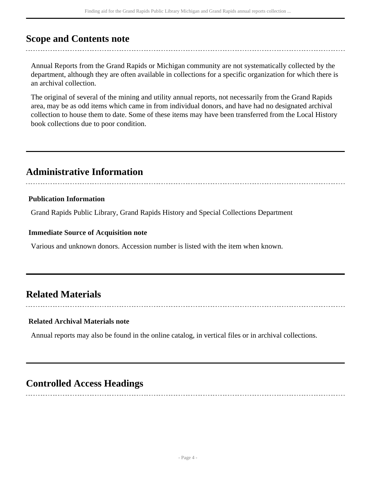# <span id="page-3-0"></span>**Scope and Contents note**

Annual Reports from the Grand Rapids or Michigan community are not systematically collected by the department, although they are often available in collections for a specific organization for which there is an archival collection.

The original of several of the mining and utility annual reports, not necessarily from the Grand Rapids area, may be as odd items which came in from individual donors, and have had no designated archival collection to house them to date. Some of these items may have been transferred from the Local History book collections due to poor condition.

# <span id="page-3-1"></span>**Administrative Information**

### **Publication Information**

Grand Rapids Public Library, Grand Rapids History and Special Collections Department

### **Immediate Source of Acquisition note**

Various and unknown donors. Accession number is listed with the item when known.

# <span id="page-3-2"></span>**Related Materials**

### **Related Archival Materials note**

Annual reports may also be found in the online catalog, in vertical files or in archival collections.

# <span id="page-3-3"></span>**Controlled Access Headings**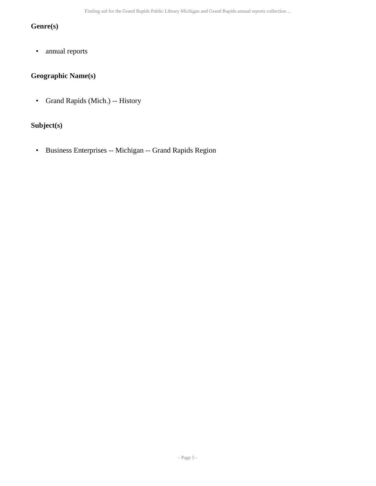# **Genre(s)**

• annual reports

# **Geographic Name(s)**

• Grand Rapids (Mich.) -- History

# **Subject(s)**

• Business Enterprises -- Michigan -- Grand Rapids Region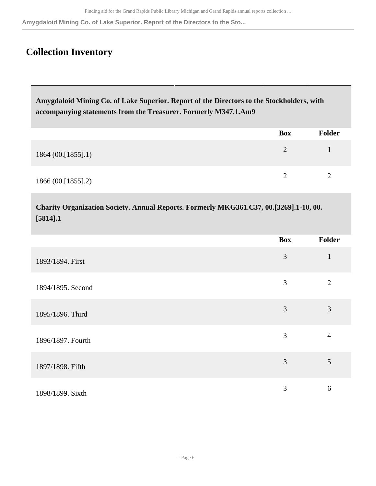**Amygdaloid Mining Co. of Lake Superior. Report of the Directors to the Sto...**

# <span id="page-5-0"></span>**Collection Inventory**

**Amygdaloid Mining Co. of Lake Superior. Report of the Directors to the Stockholders, with accompanying statements from the Treasurer. Formerly M347.1.Am9** 

|                    | Box | <b>Folder</b> |
|--------------------|-----|---------------|
| 1864(00.[1855].1)  |     |               |
| 1866 (00.[1855].2) |     |               |

**Charity Organization Society. Annual Reports. Formerly MKG361.C37, 00.[3269].1-10, 00. [5814].1** 

|                   | <b>Box</b> | Folder         |
|-------------------|------------|----------------|
| 1893/1894. First  | 3          | $\mathbf{1}$   |
| 1894/1895. Second | 3          | $\overline{2}$ |
| 1895/1896. Third  | 3          | 3              |
| 1896/1897. Fourth | 3          | $\overline{4}$ |
| 1897/1898. Fifth  | 3          | 5              |
| 1898/1899. Sixth  | 3          | 6              |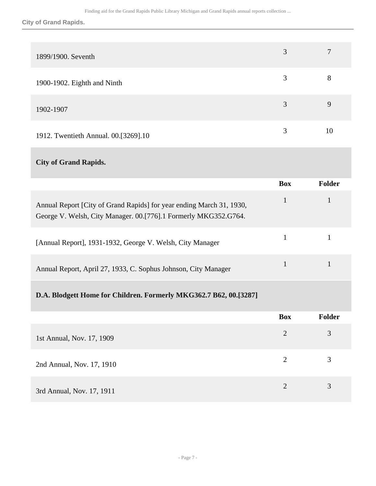**City of Grand Rapids.**

| 1899/1900. Seventh                   | 3 | 7  |
|--------------------------------------|---|----|
| 1900-1902. Eighth and Ninth          | 3 | 8  |
| 1902-1907                            | 3 | 9  |
| 1912. Twentieth Annual. 00.[3269].10 | 3 | 10 |

# **City of Grand Rapids.**

|                                                                                                                                         | <b>Box</b> | Folder |
|-----------------------------------------------------------------------------------------------------------------------------------------|------------|--------|
| Annual Report [City of Grand Rapids] for year ending March 31, 1930,<br>George V. Welsh, City Manager. 00.[776].1 Formerly MKG352.G764. |            |        |
| [Annual Report], 1931-1932, George V. Welsh, City Manager                                                                               |            |        |
| Annual Report, April 27, 1933, C. Sophus Johnson, City Manager                                                                          |            |        |

# **D.A. Blodgett Home for Children. Formerly MKG362.7 B62, 00.[3287]**

|                           | <b>Box</b>            | Folder |
|---------------------------|-----------------------|--------|
| 1st Annual, Nov. 17, 1909 | 2                     | 3      |
| 2nd Annual, Nov. 17, 1910 | 2                     | 3      |
| 3rd Annual, Nov. 17, 1911 | $\mathcal{D}_{\cdot}$ | 3      |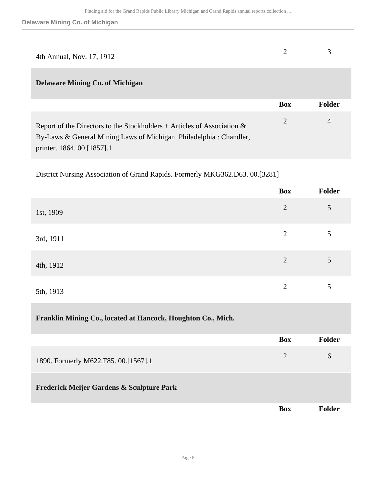| 4th Annual, Nov. 17, 1912 |  |
|---------------------------|--|

## **Delaware Mining Co. of Michigan**

|                                                                                                                                                                                | Box | Folder |
|--------------------------------------------------------------------------------------------------------------------------------------------------------------------------------|-----|--------|
| Report of the Directors to the Stockholders + Articles of Association $\&$<br>By-Laws & General Mining Laws of Michigan. Philadelphia: Chandler,<br>printer. 1864. 00.[1857].1 |     | 4      |

District Nursing Association of Grand Rapids. Formerly MKG362.D63. 00.[3281]

|           | Box            | Folder |
|-----------|----------------|--------|
| 1st, 1909 | $\overline{2}$ | 5      |
| 3rd, 1911 | $\overline{2}$ | 5      |
| 4th, 1912 | $\overline{2}$ | 5      |
| 5th, 1913 | $\overline{2}$ | 5      |

#### **Franklin Mining Co., located at Hancock, Houghton Co., Mich.**

|                                           | <b>Box</b> | Folder       |
|-------------------------------------------|------------|--------------|
| 1890. Formerly M622.F85. 00.[1567].1      |            | <sub>0</sub> |
| Frederick Meijer Gardens & Sculpture Park |            |              |

**Box Folder**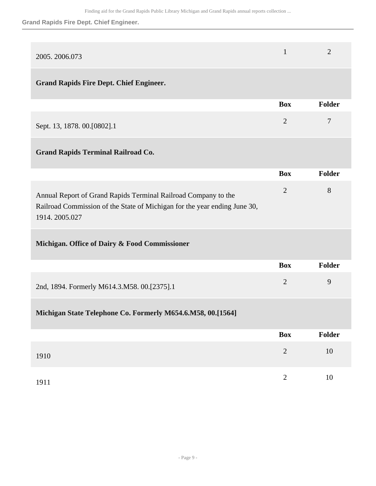## **Grand Rapids Fire Dept. Chief Engineer.**

| 2005.2006.073                                                                                                                                                | $\mathbf{1}$   | $\overline{2}$ |
|--------------------------------------------------------------------------------------------------------------------------------------------------------------|----------------|----------------|
| <b>Grand Rapids Fire Dept. Chief Engineer.</b>                                                                                                               |                |                |
|                                                                                                                                                              | <b>Box</b>     | Folder         |
| Sept. 13, 1878. 00. [0802]. 1                                                                                                                                | $\overline{2}$ | 7              |
| <b>Grand Rapids Terminal Railroad Co.</b>                                                                                                                    |                |                |
|                                                                                                                                                              | <b>Box</b>     | Folder         |
| Annual Report of Grand Rapids Terminal Railroad Company to the<br>Railroad Commission of the State of Michigan for the year ending June 30,<br>1914.2005.027 | $\overline{2}$ | 8              |
| Michigan. Office of Dairy & Food Commissioner                                                                                                                |                |                |
|                                                                                                                                                              | <b>Box</b>     | Folder         |
| 2nd, 1894. Formerly M614.3.M58. 00.[2375].1                                                                                                                  | $\overline{2}$ | 9              |
| Michigan State Telephone Co. Formerly M654.6.M58, 00.[1564]                                                                                                  |                |                |
|                                                                                                                                                              | <b>Box</b>     | Folder         |
| 1910                                                                                                                                                         | $\sqrt{2}$     | $10\,$         |
| 1911                                                                                                                                                         | $\sqrt{2}$     | $10\,$         |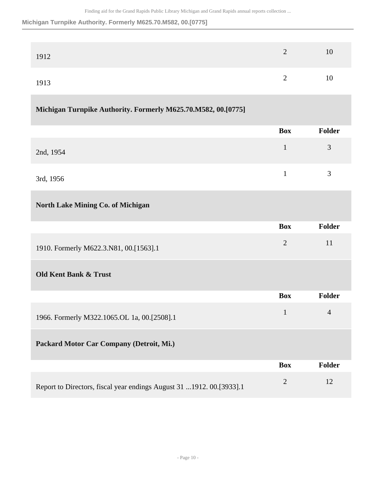#### **Michigan Turnpike Authority. Formerly M625.70.M582, 00.[0775]**

| 1912 | 2        | 10 |
|------|----------|----|
| 1913 | $\gamma$ | 10 |

## **Michigan Turnpike Authority. Formerly M625.70.M582, 00.[0775]**

|           | Box | Folder |
|-----------|-----|--------|
| 2nd, 1954 |     | 3      |
| 3rd, 1956 |     | 3      |

### **North Lake Mining Co. of Michigan**

|                                        | <b>Box</b> | <b>Folder</b> |
|----------------------------------------|------------|---------------|
| 1910. Formerly M622.3.N81, 00.[1563].1 |            | 11            |

## **Old Kent Bank & Trust**

|                                                                      | <b>Box</b> | <b>Folder</b> |
|----------------------------------------------------------------------|------------|---------------|
| 1966. Formerly M322.1065.OL 1a, 00.[2508].1                          |            | 4             |
| Packard Motor Car Company (Detroit, Mi.)                             |            |               |
|                                                                      | <b>Box</b> | <b>Folder</b> |
| Report to Directors, fiscal year endings August 31 1912. 00.[3933].1 | 2          | 12            |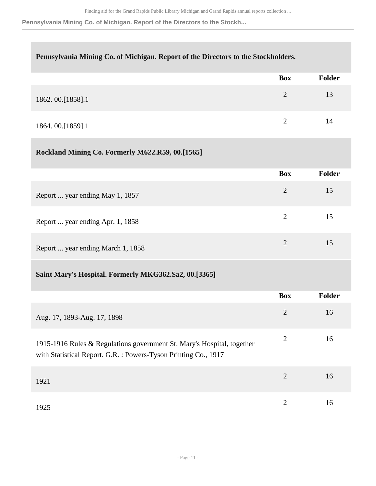**Pennsylvania Mining Co. of Michigan. Report of the Directors to the Stockh...**

| Pennsylvania Mining Co. of Michigan. Report of the Directors to the Stockholders.                                                         |                |               |
|-------------------------------------------------------------------------------------------------------------------------------------------|----------------|---------------|
|                                                                                                                                           | <b>Box</b>     | <b>Folder</b> |
| 1862.00.[1858].1                                                                                                                          | $\overline{2}$ | 13            |
| 1864.00.[1859].1                                                                                                                          | $\overline{2}$ | 14            |
| Rockland Mining Co. Formerly M622.R59, 00.[1565]                                                                                          |                |               |
|                                                                                                                                           | <b>Box</b>     | <b>Folder</b> |
| Report  year ending May 1, 1857                                                                                                           | $\overline{2}$ | 15            |
| Report  year ending Apr. 1, 1858                                                                                                          | $\overline{2}$ | 15            |
| Report  year ending March 1, 1858                                                                                                         | $\overline{2}$ | 15            |
| Saint Mary's Hospital. Formerly MKG362.Sa2, 00.[3365]                                                                                     |                |               |
|                                                                                                                                           | <b>Box</b>     | <b>Folder</b> |
| Aug. 17, 1893-Aug. 17, 1898                                                                                                               | $\overline{2}$ | 16            |
| 1915-1916 Rules & Regulations government St. Mary's Hospital, together<br>with Statistical Report. G.R. : Powers-Tyson Printing Co., 1917 | $\mathbf{2}$   | 16            |
| 1921                                                                                                                                      | $\mathbf{2}$   | 16            |
| 1925                                                                                                                                      | $\mathbf{2}$   | 16            |